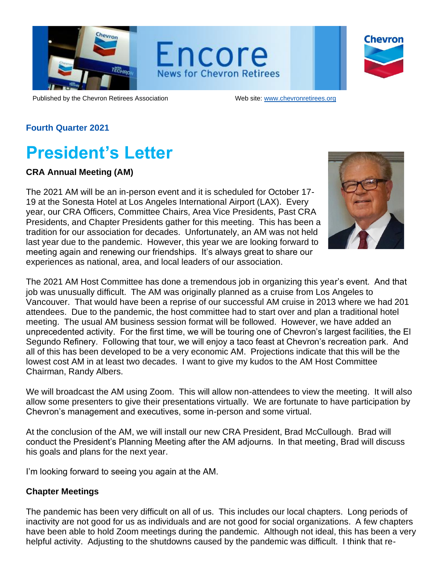

Encore **News for Chevron Retirees** 



Published by the Chevron Retirees Association Web site: [www.chevronretirees.org](http://www.chevronretirees.org/)

## **Fourth Quarter 2021**

## **President's Letter**

#### **CRA Annual Meeting (AM)**

The 2021 AM will be an in-person event and it is scheduled for October 17- 19 at the Sonesta Hotel at Los Angeles International Airport (LAX). Every year, our CRA Officers, Committee Chairs, Area Vice Presidents, Past CRA Presidents, and Chapter Presidents gather for this meeting. This has been a tradition for our association for decades. Unfortunately, an AM was not held last year due to the pandemic. However, this year we are looking forward to meeting again and renewing our friendships. It's always great to share our experiences as national, area, and local leaders of our association.



The 2021 AM Host Committee has done a tremendous job in organizing this year's event. And that job was unusually difficult. The AM was originally planned as a cruise from Los Angeles to Vancouver. That would have been a reprise of our successful AM cruise in 2013 where we had 201 attendees. Due to the pandemic, the host committee had to start over and plan a traditional hotel meeting. The usual AM business session format will be followed. However, we have added an unprecedented activity. For the first time, we will be touring one of Chevron's largest facilities, the El Segundo Refinery. Following that tour, we will enjoy a taco feast at Chevron's recreation park. And all of this has been developed to be a very economic AM. Projections indicate that this will be the lowest cost AM in at least two decades. I want to give my kudos to the AM Host Committee Chairman, Randy Albers.

We will broadcast the AM using Zoom. This will allow non-attendees to view the meeting. It will also allow some presenters to give their presentations virtually. We are fortunate to have participation by Chevron's management and executives, some in-person and some virtual.

At the conclusion of the AM, we will install our new CRA President, Brad McCullough. Brad will conduct the President's Planning Meeting after the AM adjourns. In that meeting, Brad will discuss his goals and plans for the next year.

I'm looking forward to seeing you again at the AM.

#### **Chapter Meetings**

The pandemic has been very difficult on all of us. This includes our local chapters. Long periods of inactivity are not good for us as individuals and are not good for social organizations. A few chapters have been able to hold Zoom meetings during the pandemic. Although not ideal, this has been a very helpful activity. Adjusting to the shutdowns caused by the pandemic was difficult. I think that re-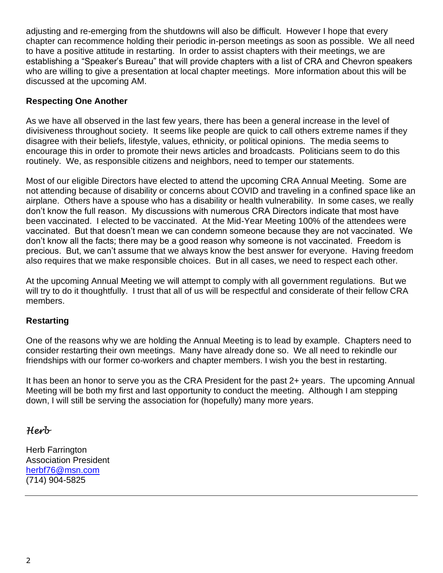adjusting and re-emerging from the shutdowns will also be difficult. However I hope that every chapter can recommence holding their periodic in-person meetings as soon as possible. We all need to have a positive attitude in restarting. In order to assist chapters with their meetings, we are establishing a "Speaker's Bureau" that will provide chapters with a list of CRA and Chevron speakers who are willing to give a presentation at local chapter meetings. More information about this will be discussed at the upcoming AM.

## **Respecting One Another**

As we have all observed in the last few years, there has been a general increase in the level of divisiveness throughout society. It seems like people are quick to call others extreme names if they disagree with their beliefs, lifestyle, values, ethnicity, or political opinions. The media seems to encourage this in order to promote their news articles and broadcasts. Politicians seem to do this routinely. We, as responsible citizens and neighbors, need to temper our statements.

Most of our eligible Directors have elected to attend the upcoming CRA Annual Meeting. Some are not attending because of disability or concerns about COVID and traveling in a confined space like an airplane. Others have a spouse who has a disability or health vulnerability. In some cases, we really don't know the full reason. My discussions with numerous CRA Directors indicate that most have been vaccinated. I elected to be vaccinated. At the Mid-Year Meeting 100% of the attendees were vaccinated. But that doesn't mean we can condemn someone because they are not vaccinated. We don't know all the facts; there may be a good reason why someone is not vaccinated. Freedom is precious. But, we can't assume that we always know the best answer for everyone. Having freedom also requires that we make responsible choices. But in all cases, we need to respect each other.

At the upcoming Annual Meeting we will attempt to comply with all government regulations. But we will try to do it thoughtfully. I trust that all of us will be respectful and considerate of their fellow CRA members.

### **Restarting**

One of the reasons why we are holding the Annual Meeting is to lead by example. Chapters need to consider restarting their own meetings. Many have already done so. We all need to rekindle our friendships with our former co-workers and chapter members. I wish you the best in restarting.

It has been an honor to serve you as the CRA President for the past 2+ years. The upcoming Annual Meeting will be both my first and last opportunity to conduct the meeting. Although I am stepping down, I will still be serving the association for (hopefully) many more years.

## *Herb*

Herb Farrington Association President [herbf76@msn.com](mailto:herbf76@msn.com) (714) 904-5825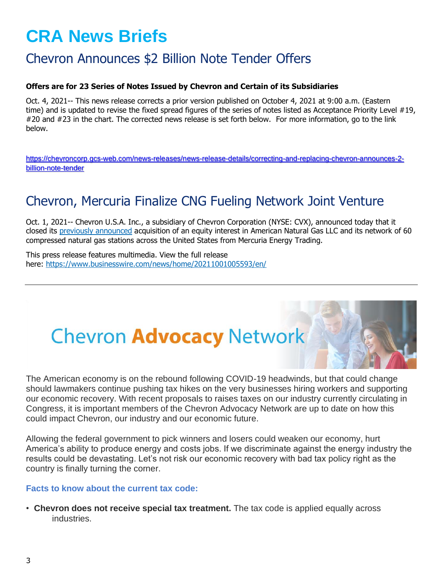# **CRA News Briefs**

## Chevron Announces \$2 Billion Note Tender Offers

#### **Offers are for 23 Series of Notes Issued by Chevron and Certain of its Subsidiaries**

Oct. 4, 2021-- This news release corrects a prior version published on October 4, 2021 at 9:00 a.m. (Eastern time) and is updated to revise the fixed spread figures of the series of notes listed as Acceptance Priority Level #19, #20 and #23 in the chart. The corrected news release is set forth below. For more information, go to the link below.

[https://chevroncorp.gcs-web.com/news-releases/news-release-details/correcting-and-replacing-chevron-announces-2](https://chevroncorp.gcs-web.com/news-releases/news-release-details/correcting-and-replacing-chevron-announces-2-billion-note-tender) [billion-note-tender](https://chevroncorp.gcs-web.com/news-releases/news-release-details/correcting-and-replacing-chevron-announces-2-billion-note-tender)

## Chevron, Mercuria Finalize CNG Fueling Network Joint Venture

Oct. 1, 2021-- Chevron U.S.A. Inc., a subsidiary of Chevron Corporation (NYSE: CVX), announced today that it closed its [previously announced](https://cts.businesswire.com/ct/CT?id=smartlink&url=https%3A%2F%2Fwww.businesswire.com%2Fnews%2Fhome%2F20210909006117%2Fen%2FChevron-Mercuria-Announce-CNG-Fueling-Network-Joint-Venture&esheet=52501990&newsitemid=20211001005593&lan=en-US&anchor=previously+announced&index=1&md5=9fc5ac9d202b50d9d45745f0e4239e71) acquisition of an equity interest in American Natural Gas LLC and its network of 60 compressed natural gas stations across the United States from Mercuria Energy Trading.

This press release features multimedia. View the full release here: <https://www.businesswire.com/news/home/20211001005593/en/>

# **Chevron Advocacy Network**

The American economy is on the rebound following COVID-19 headwinds, but that could change should lawmakers continue pushing tax hikes on the very businesses hiring workers and supporting our economic recovery. With recent proposals to raises taxes on our industry currently circulating in Congress, it is important members of the Chevron Advocacy Network are up to date on how this could impact Chevron, our industry and our economic future.

Allowing the federal government to pick winners and losers could weaken our economy, hurt America's ability to produce energy and costs jobs. If we discriminate against the energy industry the results could be devastating. Let's not risk our economic recovery with bad tax policy right as the country is finally turning the corner.

#### **Facts to know about the current tax code:**

• **Chevron does not receive special tax treatment.** The tax code is applied equally across industries.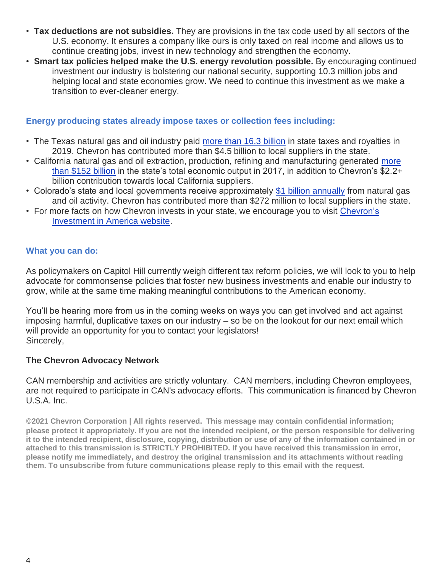- **Tax deductions are not subsidies.** They are provisions in the tax code used by all sectors of the U.S. economy. It ensures a company like ours is only taxed on real income and allows us to continue creating jobs, invest in new technology and strengthen the economy.
- **Smart tax policies helped make the U.S. energy revolution possible.** By encouraging continued investment our industry is bolstering our national security, supporting 10.3 million jobs and helping local and state economies grow. We need to continue this investment as we make a transition to ever-cleaner energy.

## **Energy producing states already impose taxes or collection fees including:**

- The Texas natural gas and oil industry paid [more than 16.3 billion](https://politemail-analytics.chevron.com/PoliteMail/default.aspx?page=teAAlNfMK0ykWiYazF4OAQ&ref_id=obxFbJz6oE2FMfIV2Hnp6w) in state taxes and royalties in 2019. Chevron has contributed more than \$4.5 billion to local suppliers in the state.
- California natural gas and oil extraction, production, refining and manufacturing generated [more](https://politemail-analytics.chevron.com/PoliteMail/default.aspx?page=93AxmodOHkSU91hMdeQfGw&ref_id=obxFbJz6oE2FMfIV2Hnp6w)  [than \\$152 billion](https://politemail-analytics.chevron.com/PoliteMail/default.aspx?page=93AxmodOHkSU91hMdeQfGw&ref_id=obxFbJz6oE2FMfIV2Hnp6w) in the state's total economic output in 2017, in addition to Chevron's \$2.2+ billion contribution towards local California suppliers.
- Colorado's state and local governments receive approximately [\\$1 billion annually](https://politemail-analytics.chevron.com/PoliteMail/default.aspx?page=_H5wMSmpEEGM5E7pEyynZg&ref_id=obxFbJz6oE2FMfIV2Hnp6w) from natural gas and oil activity. Chevron has contributed more than \$272 million to local suppliers in the state.
- For more facts on how Chevron invests in your state, we encourage you to visit [Chevron's](https://politemail-analytics.chevron.com/PoliteMail/default.aspx?page=v98unuD0OECLLGd3lhGIcA&ref_id=obxFbJz6oE2FMfIV2Hnp6w)  [Investment in America website.](https://politemail-analytics.chevron.com/PoliteMail/default.aspx?page=v98unuD0OECLLGd3lhGIcA&ref_id=obxFbJz6oE2FMfIV2Hnp6w)

### **What you can do:**

As policymakers on Capitol Hill currently weigh different tax reform policies, we will look to you to help advocate for commonsense policies that foster new business investments and enable our industry to grow, while at the same time making meaningful contributions to the American economy.

You'll be hearing more from us in the coming weeks on ways you can get involved and act against imposing harmful, duplicative taxes on our industry – so be on the lookout for our next email which will provide an opportunity for you to contact your legislators! Sincerely,

### **The Chevron Advocacy Network**

CAN membership and activities are strictly voluntary. CAN members, including Chevron employees, are not required to participate in CAN's advocacy efforts. This communication is financed by Chevron U.S.A. Inc.

**©2021 Chevron Corporation | All rights reserved. This message may contain confidential information; please protect it appropriately. If you are not the intended recipient, or the person responsible for delivering it to the intended recipient, disclosure, copying, distribution or use of any of the information contained in or attached to this transmission is STRICTLY PROHIBITED. If you have received this transmission in error, please notify me immediately, and destroy the original transmission and its attachments without reading them. To unsubscribe from future communications please reply to this email with the request.**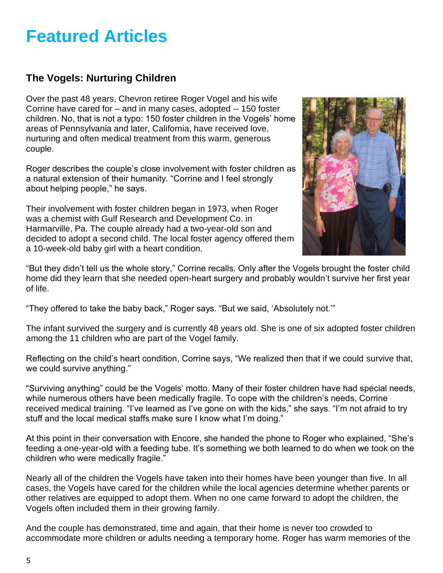## **Featured Articles**

## **The Vogels: Nurturing Children**

Over the past 48 years, Chevron retiree Roger Vogel and his wife Corrine have cared for – and in many cases, adopted -- 150 foster children. No, that is not a typo: 150 foster children in the Vogels' home areas of Pennsylvania and later, California, have received love, nurturing and often medical treatment from this warm, generous couple.

Roger describes the couple's close involvement with foster children as a natural extension of their humanity. "Corrine and I feel strongly about helping people," he says.

Their involvement with foster children began in 1973, when Roger was a chemist with Gulf Research and Development Co. in Harmarville, Pa. The couple already had a two-year-old son and decided to adopt a second child. The local foster agency offered them a 10-week-old baby girl with a heart condition.



"But they didn't tell us the whole story," Corrine recalls. Only after the Vogels brought the foster child home did they learn that she needed open-heart surgery and probably wouldn't survive her first year of life.

"They offered to take the baby back," Roger says. "But we said, 'Absolutely not.'"

The infant survived the surgery and is currently 48 years old. She is one of six adopted foster children among the 11 children who are part of the Vogel family.

Reflecting on the child's heart condition, Corrine says, "We realized then that if we could survive that, we could survive anything."

"Surviving anything" could be the Vogels' motto. Many of their foster children have had special needs, while numerous others have been medically fragile. To cope with the children's needs, Corrine received medical training. "I've learned as I've gone on with the kids," she says. "I'm not afraid to try stuff and the local medical staffs make sure I know what I'm doing."

At this point in their conversation with Encore, she handed the phone to Roger who explained, "She's feeding a one-year-old with a feeding tube. It's something we both learned to do when we took on the children who were medically fragile."

Nearly all of the children the Vogels have taken into their homes have been younger than five. In all cases, the Vogels have cared for the children while the local agencies determine whether parents or other relatives are equipped to adopt them. When no one came forward to adopt the children, the Vogels often included them in their growing family.

And the couple has demonstrated, time and again, that their home is never too crowded to accommodate more children or adults needing a temporary home. Roger has warm memories of the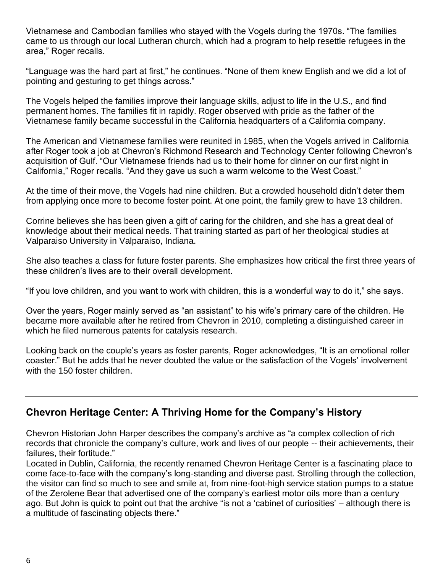Vietnamese and Cambodian families who stayed with the Vogels during the 1970s. "The families came to us through our local Lutheran church, which had a program to help resettle refugees in the area," Roger recalls.

"Language was the hard part at first," he continues. "None of them knew English and we did a lot of pointing and gesturing to get things across."

The Vogels helped the families improve their language skills, adjust to life in the U.S., and find permanent homes. The families fit in rapidly. Roger observed with pride as the father of the Vietnamese family became successful in the California headquarters of a California company.

The American and Vietnamese families were reunited in 1985, when the Vogels arrived in California after Roger took a job at Chevron's Richmond Research and Technology Center following Chevron's acquisition of Gulf. "Our Vietnamese friends had us to their home for dinner on our first night in California," Roger recalls. "And they gave us such a warm welcome to the West Coast."

At the time of their move, the Vogels had nine children. But a crowded household didn't deter them from applying once more to become foster point. At one point, the family grew to have 13 children.

Corrine believes she has been given a gift of caring for the children, and she has a great deal of knowledge about their medical needs. That training started as part of her theological studies at Valparaiso University in Valparaiso, Indiana.

She also teaches a class for future foster parents. She emphasizes how critical the first three years of these children's lives are to their overall development.

"If you love children, and you want to work with children, this is a wonderful way to do it," she says.

Over the years, Roger mainly served as "an assistant" to his wife's primary care of the children. He became more available after he retired from Chevron in 2010, completing a distinguished career in which he filed numerous patents for catalysis research.

Looking back on the couple's years as foster parents, Roger acknowledges, "It is an emotional roller coaster." But he adds that he never doubted the value or the satisfaction of the Vogels' involvement with the 150 foster children.

## **Chevron Heritage Center: A Thriving Home for the Company's History**

Chevron Historian John Harper describes the company's archive as "a complex collection of rich records that chronicle the company's culture, work and lives of our people -- their achievements, their failures, their fortitude."

Located in Dublin, California, the recently renamed Chevron Heritage Center is a fascinating place to come face-to-face with the company's long-standing and diverse past. Strolling through the collection, the visitor can find so much to see and smile at, from nine-foot-high service station pumps to a statue of the Zerolene Bear that advertised one of the company's earliest motor oils more than a century ago. But John is quick to point out that the archive "is not a 'cabinet of curiosities' – although there is a multitude of fascinating objects there."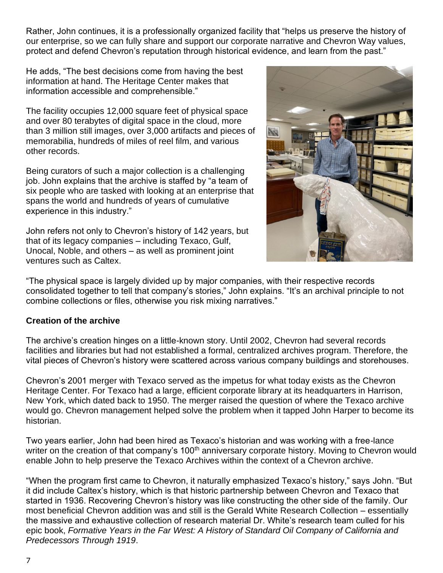Rather, John continues, it is a professionally organized facility that "helps us preserve the history of our enterprise, so we can fully share and support our corporate narrative and Chevron Way values, protect and defend Chevron's reputation through historical evidence, and learn from the past."

He adds, "The best decisions come from having the best information at hand. The Heritage Center makes that information accessible and comprehensible."

The facility occupies 12,000 square feet of physical space and over 80 terabytes of digital space in the cloud, more than 3 million still images, over 3,000 artifacts and pieces of memorabilia, hundreds of miles of reel film, and various other records.

Being curators of such a major collection is a challenging job. John explains that the archive is staffed by "a team of six people who are tasked with looking at an enterprise that spans the world and hundreds of years of cumulative experience in this industry."

John refers not only to Chevron's history of 142 years, but that of its legacy companies – including Texaco, Gulf, Unocal, Noble, and others – as well as prominent joint ventures such as Caltex.



"The physical space is largely divided up by major companies, with their respective records consolidated together to tell that company's stories," John explains. "It's an archival principle to not combine collections or files, otherwise you risk mixing narratives."

### **Creation of the archive**

The archive's creation hinges on a little-known story. Until 2002, Chevron had several records facilities and libraries but had not established a formal, centralized archives program. Therefore, the vital pieces of Chevron's history were scattered across various company buildings and storehouses.

Chevron's 2001 merger with Texaco served as the impetus for what today exists as the Chevron Heritage Center. For Texaco had a large, efficient corporate library at its headquarters in Harrison, New York, which dated back to 1950. The merger raised the question of where the Texaco archive would go. Chevron management helped solve the problem when it tapped John Harper to become its historian.

Two years earlier, John had been hired as Texaco's historian and was working with a free-lance writer on the creation of that company's 100<sup>th</sup> anniversary corporate history. Moving to Chevron would enable John to help preserve the Texaco Archives within the context of a Chevron archive.

"When the program first came to Chevron, it naturally emphasized Texaco's history," says John. "But it did include Caltex's history, which is that historic partnership between Chevron and Texaco that started in 1936. Recovering Chevron's history was like constructing the other side of the family. Our most beneficial Chevron addition was and still is the Gerald White Research Collection – essentially the massive and exhaustive collection of research material Dr. White's research team culled for his epic book, *Formative Years in the Far West: A History of Standard Oil Company of California and Predecessors Through 1919*.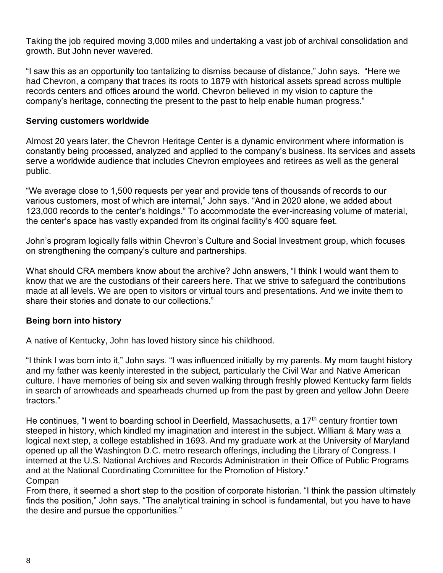Taking the job required moving 3,000 miles and undertaking a vast job of archival consolidation and growth. But John never wavered.

"I saw this as an opportunity too tantalizing to dismiss because of distance," John says. "Here we had Chevron, a company that traces its roots to 1879 with historical assets spread across multiple records centers and offices around the world. Chevron believed in my vision to capture the company's heritage, connecting the present to the past to help enable human progress."

#### **Serving customers worldwide**

Almost 20 years later, the Chevron Heritage Center is a dynamic environment where information is constantly being processed, analyzed and applied to the company's business. Its services and assets serve a worldwide audience that includes Chevron employees and retirees as well as the general public.

"We average close to 1,500 requests per year and provide tens of thousands of records to our various customers, most of which are internal," John says. "And in 2020 alone, we added about 123,000 records to the center's holdings." To accommodate the ever-increasing volume of material, the center's space has vastly expanded from its original facility's 400 square feet.

John's program logically falls within Chevron's Culture and Social Investment group, which focuses on strengthening the company's culture and partnerships.

What should CRA members know about the archive? John answers, "I think I would want them to know that we are the custodians of their careers here. That we strive to safeguard the contributions made at all levels. We are open to visitors or virtual tours and presentations. And we invite them to share their stories and donate to our collections."

#### **Being born into history**

A native of Kentucky, John has loved history since his childhood.

"I think I was born into it," John says. "I was influenced initially by my parents. My mom taught history and my father was keenly interested in the subject, particularly the Civil War and Native American culture. I have memories of being six and seven walking through freshly plowed Kentucky farm fields in search of arrowheads and spearheads churned up from the past by green and yellow John Deere tractors."

He continues, "I went to boarding school in Deerfield, Massachusetts, a  $17<sup>th</sup>$  century frontier town steeped in history, which kindled my imagination and interest in the subject. William & Mary was a logical next step, a college established in 1693. And my graduate work at the University of Maryland opened up all the Washington D.C. metro research offerings, including the Library of Congress. I interned at the U.S. National Archives and Records Administration in their Office of Public Programs and at the National Coordinating Committee for the Promotion of History." Compan

From there, it seemed a short step to the position of corporate historian. "I think the passion ultimately finds the position," John says. "The analytical training in school is fundamental, but you have to have the desire and pursue the opportunities."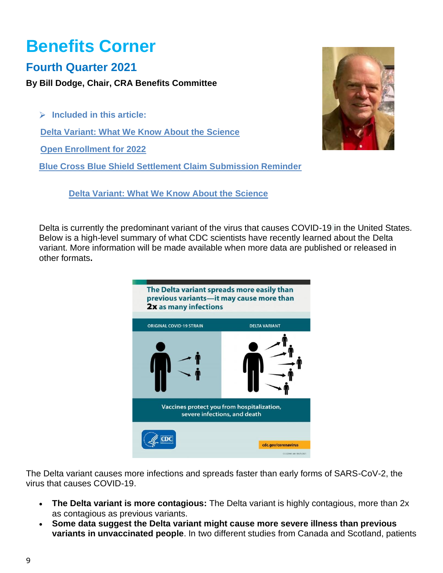# **Benefits Corner**

## **Fourth Quarter 2021**

**By Bill Dodge, Chair, CRA Benefits Committee**

**Included in this article: Delta Variant: What We Know About the Science Open Enrollment for 2022 Blue Cross Blue Shield Settlement Claim Submission Reminder** 

 **Delta Variant: What We Know About the Science** 



Delta is currently the predominant variant of the virus that causes COVID-19 in the United States. Below is a high-level summary of what CDC scientists have recently learned about the Delta variant. More information will be made available when more data are published or released in other formats**.**



The Delta variant causes more infections and spreads faster than early forms of SARS-CoV-2, the virus that causes COVID-19.

- **The Delta variant is more contagious:** The Delta variant is highly contagious, more than 2x as contagious as previous variants.
- **Some data suggest the Delta variant might cause more severe illness than previous variants in unvaccinated people**. In two different studies from Canada and Scotland, patients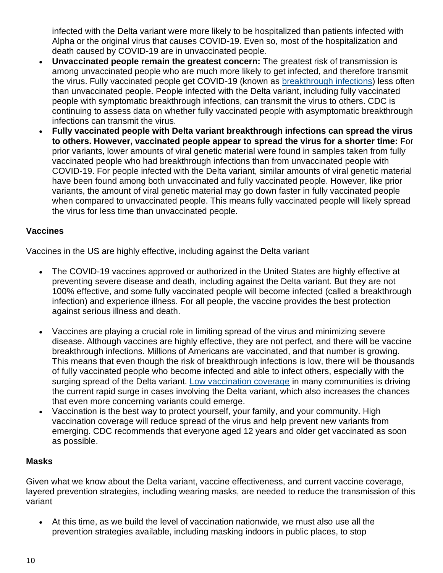infected with the Delta variant were more likely to be hospitalized than patients infected with Alpha or the original virus that causes COVID-19. Even so, most of the hospitalization and death caused by COVID-19 are in unvaccinated people.

- **Unvaccinated people remain the greatest concern:** The greatest risk of transmission is among unvaccinated people who are much more likely to get infected, and therefore transmit the virus. Fully vaccinated people get COVID-19 (known as [breakthrough infections\)](https://www.cdc.gov/coronavirus/2019-ncov/vaccines/effectiveness/why-measure-effectiveness/breakthrough-cases.html) less often than unvaccinated people. People infected with the Delta variant, including fully vaccinated people with symptomatic breakthrough infections, can transmit the virus to others. CDC is continuing to assess data on whether fully vaccinated people with asymptomatic breakthrough infections can transmit the virus.
- **Fully vaccinated people with Delta variant breakthrough infections can spread the virus to others. However, vaccinated people appear to spread the virus for a shorter time:** For prior variants, lower amounts of viral genetic material were found in samples taken from fully vaccinated people who had breakthrough infections than from unvaccinated people with COVID-19. For people infected with the Delta variant, similar amounts of viral genetic material have been found among both unvaccinated and fully vaccinated people. However, like prior variants, the amount of viral genetic material may go down faster in fully vaccinated people when compared to unvaccinated people. This means fully vaccinated people will likely spread the virus for less time than unvaccinated people.

### **Vaccines**

Vaccines in the US are highly effective, including against the Delta variant

- The COVID-19 vaccines approved or authorized in the United States are highly effective at preventing severe disease and death, including against the Delta variant. But they are not 100% effective, and some fully vaccinated people will become infected (called a breakthrough infection) and experience illness. For all people, the vaccine provides the best protection against serious illness and death.
- Vaccines are playing a crucial role in limiting spread of the virus and minimizing severe disease. Although vaccines are highly effective, they are not perfect, and there will be vaccine breakthrough infections. Millions of Americans are vaccinated, and that number is growing. This means that even though the risk of breakthrough infections is low, there will be thousands of fully vaccinated people who become infected and able to infect others, especially with the surging spread of the Delta variant. [Low vaccination coverage](https://covid.cdc.gov/covid-data-tracker/#vaccinations_vacc-total-admin-rate-total) in many communities is driving the current rapid surge in cases involving the Delta variant, which also increases the chances that even more concerning variants could emerge.
- Vaccination is the best way to protect yourself, your family, and your community. High vaccination coverage will reduce spread of the virus and help prevent new variants from emerging. CDC recommends that everyone aged 12 years and older get vaccinated as soon as possible.

#### **Masks**

Given what we know about the Delta variant, vaccine effectiveness, and current vaccine coverage, layered prevention strategies, including wearing masks, are needed to reduce the transmission of this variant

• At this time, as we build the level of vaccination nationwide, we must also use all the prevention strategies available, including masking indoors in public places, to stop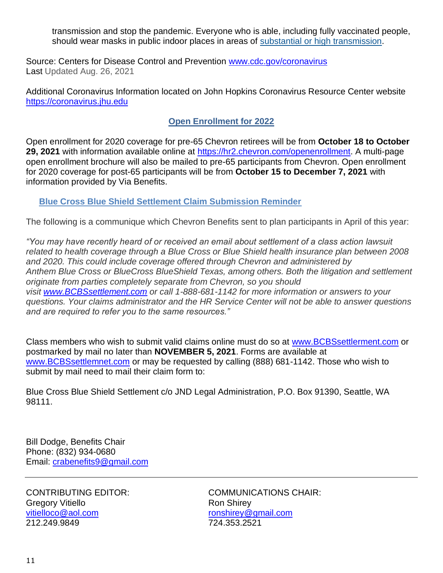transmission and stop the pandemic. Everyone who is able, including fully vaccinated people, should wear masks in public indoor places in areas of [substantial or high transmission.](https://covid.cdc.gov/covid-data-tracker/#county-view)

Source: Centers for Disease Control and Prevention [www.cdc.gov/coronavirus](http://www.cdc.gov/coronavirus)  Last Updated Aug. 26, 2021

Additional Coronavirus Information located on John Hopkins Coronavirus Resource Center website [https://coronavirus.jhu.edu](https://coronavirus.jhu.edu/)

## **Open Enrollment for 2022**

Open enrollment for 2020 coverage for pre-65 Chevron retirees will be from **October 18 to October 29, 2021** with information available online at [https://hr2.chevron.com/openenrollment.](https://hr2.chevron.com/openenrollment) A multi-page open enrollment brochure will also be mailed to pre-65 participants from Chevron. Open enrollment for 2020 coverage for post-65 participants will be from **October 15 to December 7, 2021** with information provided by Via Benefits.

### **Blue Cross Blue Shield Settlement Claim Submission Reminder**

The following is a communique which Chevron Benefits sent to plan participants in April of this year:

*"You may have recently heard of or received an email about settlement of a class action lawsuit related to health coverage through a Blue Cross or Blue Shield health insurance plan between 2008 and 2020. This could include coverage offered through Chevron and administered by Anthem Blue Cross or BlueCross BlueShield Texas, among others. Both the litigation and settlement originate from parties completely separate from Chevron, so you should visit [www.BCBSsettlement.com](http://www.bcbssettlement.com/) or call 1-888-681-1142 for more information or answers to your questions. Your claims administrator and the HR Service Center will not be able to answer questions and are required to refer you to the same resources."*

Class members who wish to submit valid claims online must do so at [www.BCBSsettlerment.com](http://www.bcbssettlerment.com/) or postmarked by mail no later than **NOVEMBER 5, 2021**. Forms are available at [www.BCBSsettlemnet.com](http://www.bcbssettlemnet.com/) or may be requested by calling (888) 681-1142. Those who wish to submit by mail need to mail their claim form to:

Blue Cross Blue Shield Settlement c/o JND Legal Administration, P.O. Box 91390, Seattle, WA 98111.

Bill Dodge, Benefits Chair Phone: (832) 934-0680 Email: [crabenefits9@gmail.com](mailto:crabenefits9@gmail.com)

Gregory Vitiello **Ron Shirey** Ron Shirey [vitielloco@aol.com](mailto:vitielloco@aol.com) [ronshirey@gmail.com](mailto:ronshirey@gmail.com) 212.249.9849 724.353.2521

CONTRIBUTING EDITOR: COMMUNICATIONS CHAIR: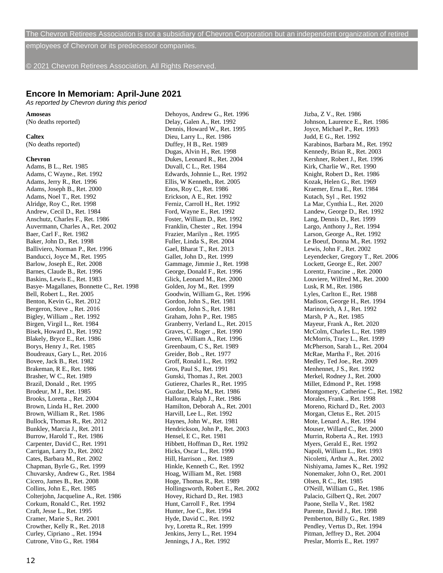The Chevron Retirees Association is not a subsidiary of Chevron Corporation but an independent organization of retired

employees of Chevron or its predecessor companies.

© 2021 Chevron Retirees Association. All Rights Reserved.

#### **Encore In Memoriam: April-June 2021**

*As reported by Chevron during this period*

#### **Amoseas**

(No deaths reported)

#### **Caltex**

(No deaths reported)

#### **Chevron**

Adams, B L., Ret. 1985 Adams, C Wayne., Ret. 1992 Adams, Jerry R., Ret. 1996 Adams, Joseph B., Ret. 2000 Adams, Noel T., Ret. 1992 Alridge, Roy C., Ret. 1998 Andrew, Cecil D., Ret. 1984 Anschutz, Charles F., Ret. 1986 Auvermann, Charles A., Ret. 2002 Baer, Carl F., Ret. 1982 Baker, John D., Ret. 1998 Balliviero, Norman P., Ret. 1996 Banducci, Joyce M., Ret. 1995 Barlow, Joseph E., Ret. 2008 Barnes, Claude B., Ret. 1996 Baskins, Lewis E., Ret. 1983 Basye- Magallanes, Bonnette C., Ret. 1998 Bell, Robert L., Ret. 2005 Benton, Kevin G., Ret. 2012 Bergeron, Steve ., Ret. 2016 Bigley, William ., Ret. 1992 Birgen, Virgil L., Ret. 1984 Bisek, Howard D., Ret. 1992 Blakely, Bryce E., Ret. 1986 Borys, Henry J., Ret. 1985 Boudreaux, Gary L., Ret. 2016 Bovee, Jack B., Ret. 1982 Brakeman, R E., Ret. 1986 Brasher, W C., Ret. 1989 Brazil, Donald ., Ret. 1995 Brodeur, M J., Ret. 1985 Brooks, Loretta ., Ret. 2004 Brown, Linda H., Ret. 2000 Brown, William R., Ret. 1986 Bullock, Thomas R., Ret. 2012 Bunkley, Marcia J., Ret. 2011 Burrow, Harold T., Ret. 1986 Carpenter, David C., Ret. 1991 Carrigan, Larry D., Ret. 2002 Cates, Barbara M., Ret. 2002 Chapman, Byrle G., Ret. 1999 Chuvarsky, Andrew G., Ret. 1984 Cicero, James B., Ret. 2008 Collins, John E., Ret. 1985 Colterjohn, Jacqueline A., Ret. 1986 Corkum, Ronald C., Ret. 1992 Craft, Jesse L., Ret. 1995 Cramer, Marie S., Ret. 2001 Crowther, Kelly R., Ret. 2018 Curley, Cipriano ., Ret. 1994 Cutrone, Vito G., Ret. 1984

Dehoyos, Andrew G., Ret. 1996 Delay, Galen A., Ret. 1992 Dennis, Howard W., Ret. 1995 Dieu, Larry L., Ret. 1986 Duffey, H B., Ret. 1989 Dugas, Alvin H., Ret. 1998 Dukes, Leonard R., Ret. 2004 Duvall, C L., Ret. 1984 Edwards, Johnnie L., Ret. 1992 Ellis, W Kenneth., Ret. 2005 Enos, Roy C., Ret. 1986 Erickson, A E., Ret. 1992 Ferniz, Carroll H., Ret. 1992 Ford, Wayne E., Ret. 1992 Foster, William D., Ret. 1992 Franklin, Chester ., Ret. 1994 Frazier, Marilyn ., Ret. 1995 Fuller, Linda S., Ret. 2004 Gael, Bharat T., Ret. 2013 Gallet, John D., Ret. 1999 Gammage, Jimmie J., Ret. 1998 George, Donald F., Ret. 1996 Glick, Leonard M., Ret. 2000 Golden, Joy M., Ret. 1999 Goodwin, William G., Ret. 1996 Gordon, John S., Ret. 1981 Gordon, John S., Ret. 1981 Graham, John P., Ret. 1985 Granberry, Verland L., Ret. 2015 Graves, C. Roger ., Ret. 1990 Green, William A., Ret. 1996 Greenbaum, C S., Ret. 1989 Greider, Bob ., Ret. 1977 Groff, Ronald L., Ret. 1992 Gros, Paul S., Ret. 1991 Gunski, Thomas J., Ret. 2003 Gutierez, Charles R., Ret. 1995 Guzdar, Delsa M., Ret. 1986 Halloran, Ralph J., Ret. 1986 Hamilton, Deborah A., Ret. 2001 Harvill, Lee L., Ret. 1992 Haynes, John W., Ret. 1981 Hendrickson, John P., Ret. 2003 Hensel, E C., Ret. 1981 Hibbett, Hoffman D., Ret. 1992 Hicks, Oscar L., Ret. 1990 Hill, Harrison ., Ret. 1989 Hinkle, Kenneth C., Ret. 1992 Hoag, William M., Ret. 1988 Hoge, Thomas R., Ret. 1989 Hollingsworth, Robert E., Ret. 2002 Hovey, Richard D., Ret. 1983 Hunt, Carroll F., Ret. 1994 Hunter, Joe C., Ret. 1994 Hyde, David C., Ret. 1992 Ivy, Loretta R., Ret. 1999 Jenkins, Jerry L., Ret. 1994 Jennings, J A., Ret. 1992

Jizba, Z V., Ret. 1986 Johnson, Laurence E., Ret. 1986 Joyce, Michael P., Ret. 1993 Judd, E G., Ret. 1992 Karabinos, Barbara M., Ret. 1992 Kennedy, Brian R., Ret. 2003 Kershner, Robert J., Ret. 1996 Kirk, Charlie W., Ret. 1990 Knight, Robert D., Ret. 1986 Kozak, Helen G., Ret. 1969 Kraemer, Erna E., Ret. 1984 Kutach, Syl ., Ret. 1992 La Mar, Cynthia L., Ret. 2020 Landew, George D., Ret. 1992 Lang, Dennis D., Ret. 1999 Largo, Anthony J., Ret. 1994 Larson, George A., Ret. 1992 Le Boeuf, Donna M., Ret. 1992 Lewis, John F., Ret. 2002 Leyendecker, Gregory T., Ret. 2006 Lockett, George E., Ret. 2007 Lorentz, Francine ., Ret. 2000 Louviere, Wilfred M., Ret. 2000 Lusk, R M., Ret. 1986 Lyles, Carlton E., Ret. 1988 Madison, George H., Ret. 1994 Marinovich, A J., Ret. 1992 Marsh, P A., Ret. 1985 Mayeur, Frank A., Ret. 2020 McColm, Charles L., Ret. 1989 McMorris, Tracy L., Ret. 1999 McPherson, Sarah L., Ret. 2004 McRae, Martha F., Ret. 2016 Medley, Ted Joe., Ret. 2009 Menhennet, J S., Ret. 1992 Merkel, Rodney J., Ret. 2000 Millet, Edmond P., Ret. 1998 Montgomery, Catherine C., Ret. 1982 Morales, Frank ., Ret. 1998 Moreno, Richard D., Ret. 2003 Morgan, Cletus E., Ret. 2015 Mote, Lenard A., Ret. 1994 Mouser, Willard C., Ret. 2000 Murrin, Roberta A., Ret. 1993 Myers, Gerald E., Ret. 1992 Napoli, William L., Ret. 1993 Nicoletti, Arthur A., Ret. 2002 Nishiyama, James K., Ret. 1992 Nonemaker, John O., Ret. 2001 Olsen, R C., Ret. 1985 O'Neill, William G., Ret. 1986 Palacio, Gilbert Q., Ret. 2007 Paone, Stella V., Ret. 1982 Parente, David J., Ret. 1998 Pemberton, Billy G., Ret. 1989 Pendley, Vertus D., Ret. 1994 Pitman, Jeffrey D., Ret. 2004 Preslar, Morris E., Ret. 1997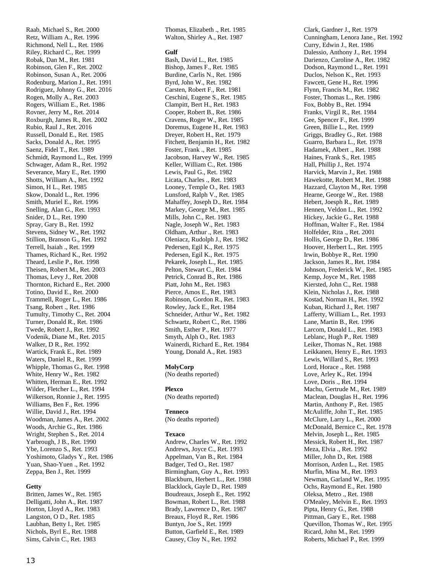Raab, Michael S., Ret. 2000 Retz, William A., Ret. 1996 Richmond, Nell L., Ret. 1986 Riley, Richard C., Ret. 1999 Robak, Dan M., Ret. 1981 Robinson, Glen F., Ret. 2002 Robinson, Susan A., Ret. 2006 Rodenburg, Marion J., Ret. 1991 Rodriguez, Johnny G., Ret. 2016 Rogen, Molly A., Ret. 2003 Rogers, William E., Ret. 1986 Rovner, Jerry M., Ret. 2014 Roxburgh, James R., Ret. 2002 Rubio, Raul J., Ret. 2016 Russell, Donald E., Ret. 1985 Sacks, Donald A., Ret. 1995 Saenz, Fidel T., Ret. 1989 Schmidt, Raymond L., Ret. 1999 Schwager, Adam R., Ret. 1992 Severance, Mary E., Ret. 1990 Shotts, William A., Ret. 1992 Simon, H L., Ret. 1985 Skow, Donald L., Ret. 1996 Smith, Muriel E., Ret. 1996 Snelling, Alan G., Ret. 1993 Snider, D L., Ret. 1990 Spray, Gary B., Ret. 1992 Stevens, Sidney W., Ret. 1992 Stillion, Branson G., Ret. 1992 Terrell, Isaiah ., Ret. 1999 Thames, Richard K., Ret. 1992 Theard, Leslie P., Ret. 1998 Theisen, Robert M., Ret. 2003 Thomas, Levy J., Ret. 2008 Thornton, Richard E., Ret. 2000 Totino, David E., Ret. 2000 Trammell, Roger L., Ret. 1986 Tsang, Robert ., Ret. 1986 Tumulty, Timothy C., Ret. 2004 Turner, Donald R., Ret. 1986 Twede, Robert J., Ret. 1992 Vodenik, Diane M., Ret. 2015 Walker, D R., Ret. 1992 Wartick, Frank E., Ret. 1989 Waters, Daniel R., Ret. 1999 Whipple, Thomas G., Ret. 1998 White, Henry W., Ret. 1982 Whitten, Herman E., Ret. 1992 Wilder, Fletcher L., Ret. 1994 Wilkerson, Ronnie J., Ret. 1995 Williams, Ben F., Ret. 1996 Willie, David J., Ret. 1994 Woodman, James A., Ret. 2002 Woods, Archie G., Ret. 1986 Wright, Stephen S., Ret. 2014 Yarbrough, J B., Ret. 1990 Ybe, Lorenzo S., Ret. 1993 Yoshimoto, Gladys Y., Ret. 1986 Yuan, Shao -Yuen ., Ret. 1992 Zeppa, Ben J., Ret. 1999

#### **Getty**

Britten, James W., Ret. 1985 Delligatti, John A., Ret. 1987 Horton, Lloyd A., Ret. 1983 Langston, O D., Ret. 1985 Laubhan, Betty I., Ret. 1985 Nichols, Byrl E., Ret. 1988 Sims, Calvin C., Ret. 1983

Thomas, Elizabeth ., Ret. 1985 Walton, Shirley A., Ret. 1987

#### **Gulf**

Bash, David L., Ret. 1985 Bishop, James F., Ret. 1985 Burdine, Carlis N., Ret. 1986 Byrd, John W., Ret. 1982 Carsten, Robert F., Ret. 1981 Ceschini, Eugene S., Ret. 1985 Clampitt, Bert H., Ret. 1983 Cooper, Robert B., Ret. 1986 Cravens, Roger W., Ret. 1985 Doremus, Eugene H., Ret. 1983 Dreyer, Robert H., Ret. 1979 Fitchett, Benjamin H., Ret. 1982 Foster, Frank ., Ret. 1985 Jacobson, Harvey W., Ret. 1985 Keller, William C., Ret. 1986 Lewis, Paul G., Ret. 1982 Licata, Charles ., Ret. 1983 Looney, Temple O., Ret. 1983 Lunsford, Ralph V., Ret. 1985 Mahaffey, Joseph D., Ret. 1984 Markey, George M., Ret. 1985 Mills, John C., Ret. 1983 Nagle, Joseph W., Ret. 1983 Oldham, Arthur ., Ret. 1983 Oleniacz, Rudolph J., Ret. 1982 Pedersen, Egil K., Ret. 1975 Pedersen, Egil K., Ret. 1975 Pekarek, Joseph L., Ret. 1985 Pelton, Stewart C., Ret. 1984 Petrick, Conrad B., Ret. 1986 Piatt, John M., Ret. 1983 Pierce, Amos E., Ret. 1983 Robinson, Gordon R., Ret. 1983 Rowley, Jack E., Ret. 1984 Schneider, Arthur W., Ret. 1982 Schwartz, Robert C., Ret. 1986 Smith, Esther P., Ret. 1977 Smyth, Alph O., Ret. 1983 Wainerdi, Richard E., Ret. 1984 Young, Donald A., Ret. 1983

#### **MolyCorp**

(No deaths reported)

#### **Plexco**

(No deaths reported)

#### **Tenneco**

(No deaths reported)

#### **Texaco**

Andrew, Charles W., Ret. 1992 Andrews, Joyce C., Ret. 1993 Appelman, Van B., Ret. 1984 Badger, Ted O., Ret. 1987 Birmingham, Guy A., Ret. 1993 Blackburn, Herbert L., Ret. 1988 Blacklock, Gayle D., Ret. 1989 Boudreaux, Joseph E., Ret. 1992 Bowman, Robert L., Ret. 1988 Brady, Lawrence D., Ret. 1987 Breaux, Floyd R., Ret. 1986 Buntyn, Joe S., Ret. 1999 Button, Garfield E., Ret. 1989 Causey, Cloy N., Ret. 1992

Clark, Gardner J., Ret. 1979 Cunningham, Lenora Jane., Ret. 1992 Curry, Edwin J., Ret. 1986 Dalessio, Anthony J., Ret. 1994 Darienzo, Caroline A., Ret. 1982 Dodson, Raymond L., Ret. 1991 Duclos, Nelson K., Ret. 1993 Fawcett, Gene H., Ret. 1996 Flynn, Francis M., Ret. 1982 Foster, Thomas L., Ret. 1986 Fox, Bobby B., Ret. 1994 Franks, Virgil R., Ret. 1984 Gee, Spencer F., Ret. 1999 Green, Billie L., Ret. 1999 Griggs, Bradley G., Ret. 1988 Guarro, Barbara L., Ret. 1978 Hadamek, Albert ., Ret. 1988 Haines, Frank S., Ret. 1985 Hall, Phillip J., Ret. 1974 Harvick, Marvin J., Ret. 1988 Hawekotte, Robert M., Ret. 1988 Hazzard, Clayton M., Ret. 1998 Hearne, George W., Ret. 1988 Hebert, Joesph R., Ret. 1989 Hennen, Veldon L., Ret. 1992 Hickey, Jackie G., Ret. 1988 Hoffman, Walter F., Ret. 1984 Holfelder, Rita ., Ret. 2001 Hollis, George D., Ret. 1986 Hoover, Herbert L., Ret. 1995 Irwin, Bobbye R., Ret. 1990 Jackson, James R., Ret. 1984 Johnson, Frederick W., Ret. 1985 Kemp, Joyce M., Ret. 1988 Kiersted, John C., Ret. 1988 Klein, Nicholas J., Ret. 1988 Kostad, Norman H., Ret. 1992 Kuban, Richard J., Ret. 1987 Lafferty, William L., Ret. 1993 Lane, Martin B., Ret. 1996 Larcom, Donald L., Ret. 1983 Leblanc, Hugh P., Ret. 1989 Leiker, Thomas N., Ret. 1988 Leikkanen, Henry E., Ret. 1993 Lewis, Willard S., Ret. 1993 Lord, Horace ., Ret. 1988 Love, Arley K., Ret. 1994 Love, Doris ., Ret. 1994 Machu, Gertrude M., Ret. 1989 Maclean, Douglas H., Ret. 1996 Martin, Anthony P., Ret. 1985 McAuliffe, John T., Ret. 1985 McClure, Larry L., Ret. 2000 McDonald, Bernice C., Ret. 1978 Melvin, Joseph L., Ret. 1985 Messick, Robert H., Ret. 1987 Meza, Elvia ., Ret. 1992 Miller, John D., Ret. 1988 Morrison, Arden L., Ret. 1985 Murfin, Mina M., Ret. 1993 Newman, Garland W., Ret. 1995 Ochs, Raymond E., Ret. 1980 Oleksa, Metro ., Ret. 1988 O'Mealey, Melvin E., Ret. 1993 Pipta, Henry G., Ret. 1988 Pittman, Gary E., Ret. 1988 Quevillon, Thomas W., Ret. 1995 Ricard, John M., Ret. 1999 Roberts, Michael P., Ret. 1999